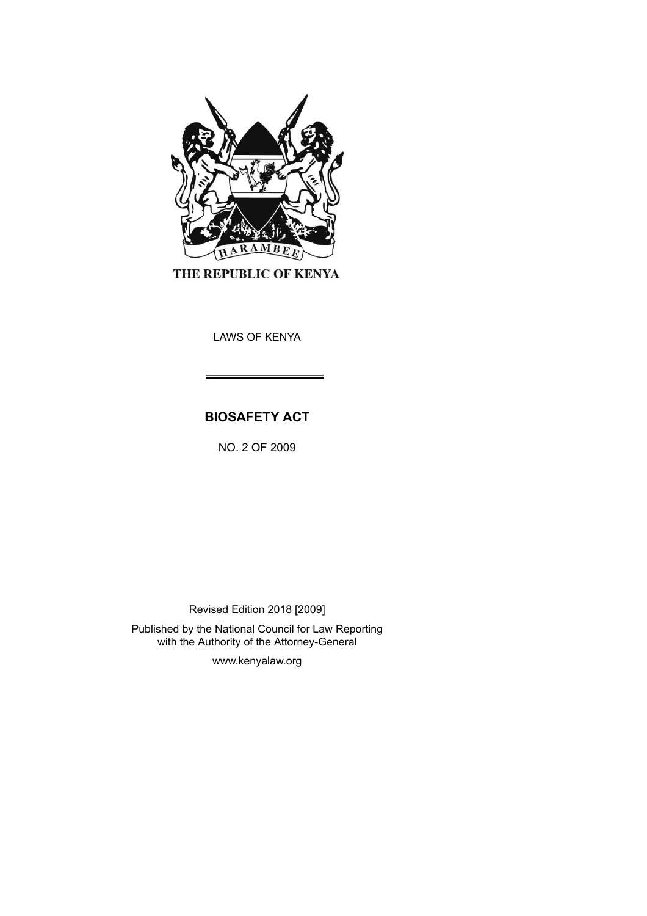

THE REPUBLIC OF KENYA

LAWS OF KENYA

# **BIOSAFETY ACT**

NO. 2 OF 2009

Revised Edition 2018 [2009]

Published by the National Council for Law Reporting with the Authority of the Attorney-General

www.kenyalaw.org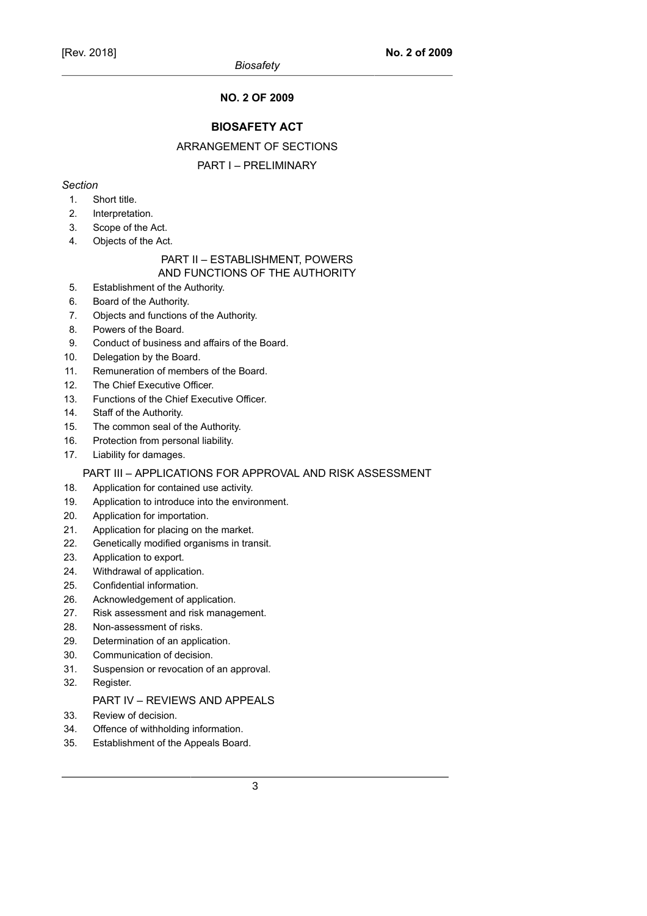### **NO. 2 OF 2009**

## **BIOSAFETY ACT**

#### ARRANGEMENT OF SECTIONS

### PART I – PRELIMINARY

### *Section*

- 1. Short title.
- 2. Interpretation.
- 3. Scope of the Act.
- 4. Objects of the Act.

### PART II – ESTABLISHMENT, POWERS AND FUNCTIONS OF THE AUTHORITY

- 5. Establishment of the Authority.
- 6. Board of the Authority.
- 7. Objects and functions of the Authority.
- 8. Powers of the Board.
- 9. Conduct of business and affairs of the Board.
- 10. Delegation by the Board.
- 11. Remuneration of members of the Board.
- 12. The Chief Executive Officer.
- 13. Functions of the Chief Executive Officer.
- 14. Staff of the Authority.
- 15. The common seal of the Authority.
- 16. Protection from personal liability.
- 17. Liability for damages.

### PART III – APPLICATIONS FOR APPROVAL AND RISK ASSESSMENT

- 18. Application for contained use activity.
- 19. Application to introduce into the environment.
- 20. Application for importation.
- 21. Application for placing on the market.
- 22. Genetically modified organisms in transit.
- 23. Application to export.
- 24. Withdrawal of application.
- 25. Confidential information.
- 26. Acknowledgement of application.
- 27. Risk assessment and risk management.
- 28. Non-assessment of risks.
- 29. Determination of an application.
- 30. Communication of decision.
- 31. Suspension or revocation of an approval.
- 32. Register.

#### PART IV – REVIEWS AND APPEALS

- 33. Review of decision.
- 34. Offence of withholding information.
- 35. Establishment of the Appeals Board.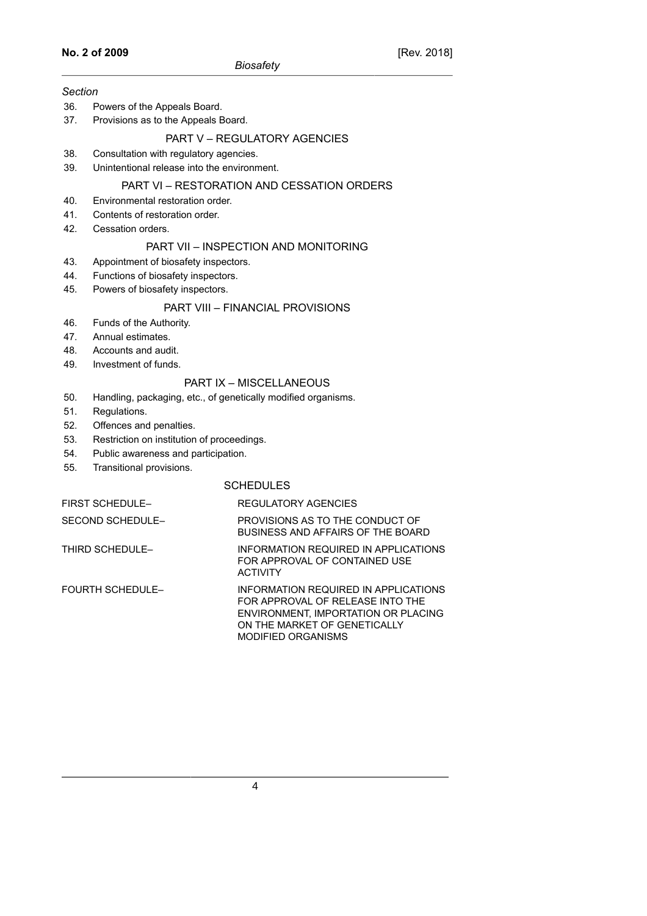*Section*

## 36. Powers of the Appeals Board. 37. Provisions as to the Appeals Board. PART V – REGULATORY AGENCIES 38. Consultation with regulatory agencies. 39. Unintentional release into the environment. PART VI – RESTORATION AND CESSATION ORDERS 40. Environmental restoration order. 41. Contents of restoration order. 42. Cessation orders. PART VII – INSPECTION AND MONITORING 43. Appointment of biosafety inspectors. 44. Functions of biosafety inspectors.

45. Powers of biosafety inspectors.

#### PART VIII – FINANCIAL PROVISIONS

- 46. Funds of the Authority.
- 47. Annual estimates.
- 48. Accounts and audit.
- 49. Investment of funds.

### PART IX – MISCELLANEOUS

- 50. Handling, packaging, etc., of genetically modified organisms.
- 51. Regulations.
- 52. Offences and penalties.
- 53. Restriction on institution of proceedings.
- 54. Public awareness and participation.
- 55. Transitional provisions.

#### **SCHEDULES**

| <b>FIRST SCHEDULE-</b>  | REGULATORY AGENCIES                                                                                                                                                          |
|-------------------------|------------------------------------------------------------------------------------------------------------------------------------------------------------------------------|
| SECOND SCHEDULE-        | PROVISIONS AS TO THE CONDUCT OF<br>BUSINESS AND AFFAIRS OF THE BOARD                                                                                                         |
| THIRD SCHEDULE-         | INFORMATION REQUIRED IN APPLICATIONS<br>FOR APPROVAL OF CONTAINED USE<br><b>ACTIVITY</b>                                                                                     |
| <b>FOURTH SCHEDULE-</b> | INFORMATION REQUIRED IN APPLICATIONS<br>FOR APPROVAL OF RELEASE INTO THE<br>ENVIRONMENT. IMPORTATION OR PLACING<br>ON THE MARKET OF GENETICALLY<br><b>MODIFIED ORGANISMS</b> |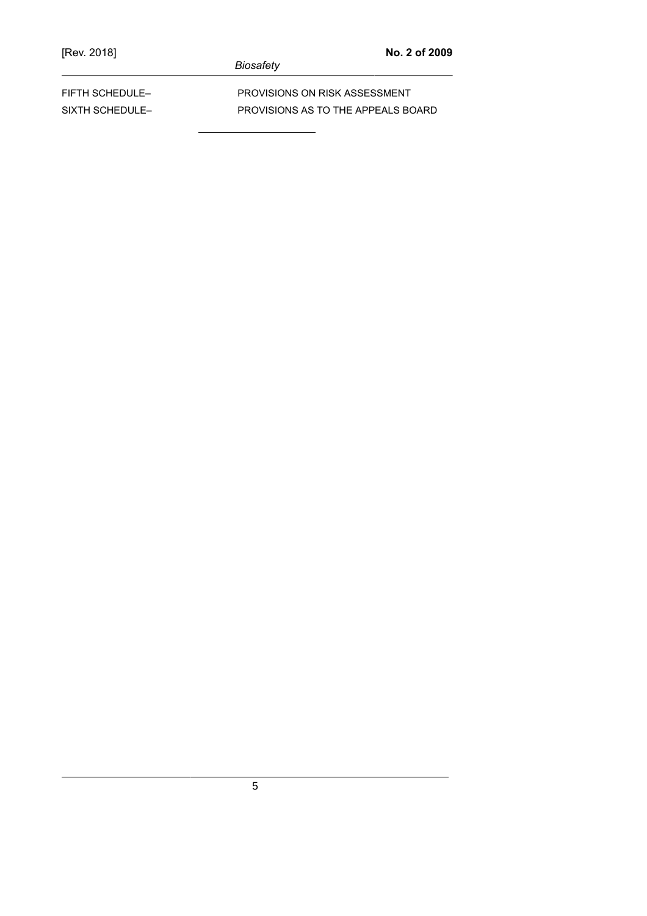| [Rev. 2018]     | No. 2 of 2009                      |  |
|-----------------|------------------------------------|--|
|                 | Biosafety                          |  |
| FIFTH SCHEDULE- | PROVISIONS ON RISK ASSESSMENT      |  |
| SIXTH SCHEDULE- | PROVISIONS AS TO THE APPEALS BOARD |  |
|                 |                                    |  |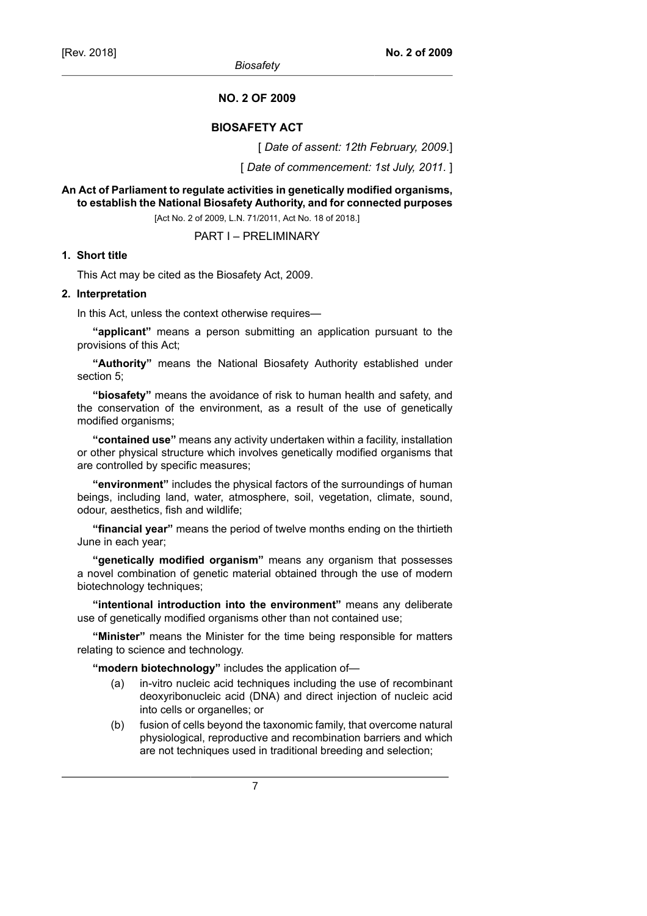#### **NO. 2 OF 2009**

### **BIOSAFETY ACT**

[ *Date of assent: 12th February, 2009.*]

[ *Date of commencement: 1st July, 2011.* ]

### **An Act of Parliament to regulate activities in genetically modified organisms, to establish the National Biosafety Authority, and for connected purposes**

[Act No. 2 of 2009, L.N. 71/2011, Act No. 18 of 2018.]

PART I – PRELIMINARY

### **1. Short title**

This Act may be cited as the Biosafety Act, 2009.

#### **2. Interpretation**

In this Act, unless the context otherwise requires—

**"applicant"** means a person submitting an application pursuant to the provisions of this Act;

**"Authority"** means the National Biosafety Authority established under section 5;

**"biosafety"** means the avoidance of risk to human health and safety, and the conservation of the environment, as a result of the use of genetically modified organisms;

**"contained use"** means any activity undertaken within a facility, installation or other physical structure which involves genetically modified organisms that are controlled by specific measures;

**"environment"** includes the physical factors of the surroundings of human beings, including land, water, atmosphere, soil, vegetation, climate, sound, odour, aesthetics, fish and wildlife;

**"financial year"** means the period of twelve months ending on the thirtieth June in each year;

**"genetically modified organism"** means any organism that possesses a novel combination of genetic material obtained through the use of modern biotechnology techniques;

**"intentional introduction into the environment"** means any deliberate use of genetically modified organisms other than not contained use;

**"Minister"** means the Minister for the time being responsible for matters relating to science and technology.

**"modern biotechnology"** includes the application of—

- (a) in-vitro nucleic acid techniques including the use of recombinant deoxyribonucleic acid (DNA) and direct injection of nucleic acid into cells or organelles; or
- (b) fusion of cells beyond the taxonomic family, that overcome natural physiological, reproductive and recombination barriers and which are not techniques used in traditional breeding and selection;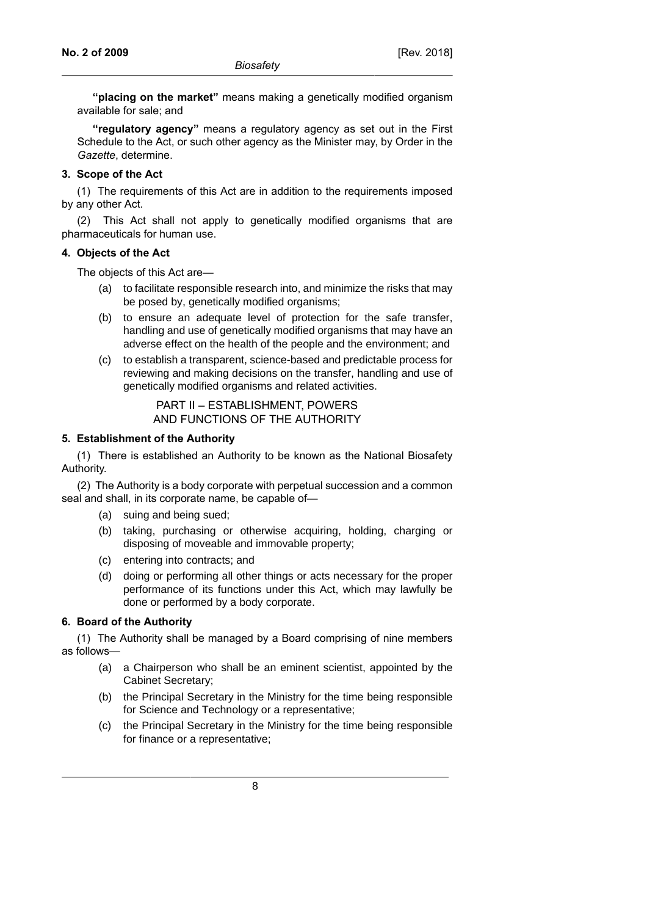**"placing on the market"** means making a genetically modified organism available for sale; and

**"regulatory agency"** means a regulatory agency as set out in the First Schedule to the Act, or such other agency as the Minister may, by Order in the *Gazette*, determine.

### **3. Scope of the Act**

(1) The requirements of this Act are in addition to the requirements imposed by any other Act.

(2) This Act shall not apply to genetically modified organisms that are pharmaceuticals for human use.

### **4. Objects of the Act**

The objects of this Act are—

- (a) to facilitate responsible research into, and minimize the risks that may be posed by, genetically modified organisms;
- (b) to ensure an adequate level of protection for the safe transfer, handling and use of genetically modified organisms that may have an adverse effect on the health of the people and the environment; and
- (c) to establish a transparent, science-based and predictable process for reviewing and making decisions on the transfer, handling and use of genetically modified organisms and related activities.

PART II – ESTABLISHMENT, POWERS AND FUNCTIONS OF THE AUTHORITY

### **5. Establishment of the Authority**

(1) There is established an Authority to be known as the National Biosafety Authority.

(2) The Authority is a body corporate with perpetual succession and a common seal and shall, in its corporate name, be capable of—

- (a) suing and being sued;
- (b) taking, purchasing or otherwise acquiring, holding, charging or disposing of moveable and immovable property;
- (c) entering into contracts; and
- (d) doing or performing all other things or acts necessary for the proper performance of its functions under this Act, which may lawfully be done or performed by a body corporate.

### **6. Board of the Authority**

(1) The Authority shall be managed by a Board comprising of nine members as follows—

- (a) a Chairperson who shall be an eminent scientist, appointed by the Cabinet Secretary;
- (b) the Principal Secretary in the Ministry for the time being responsible for Science and Technology or a representative;
- (c) the Principal Secretary in the Ministry for the time being responsible for finance or a representative;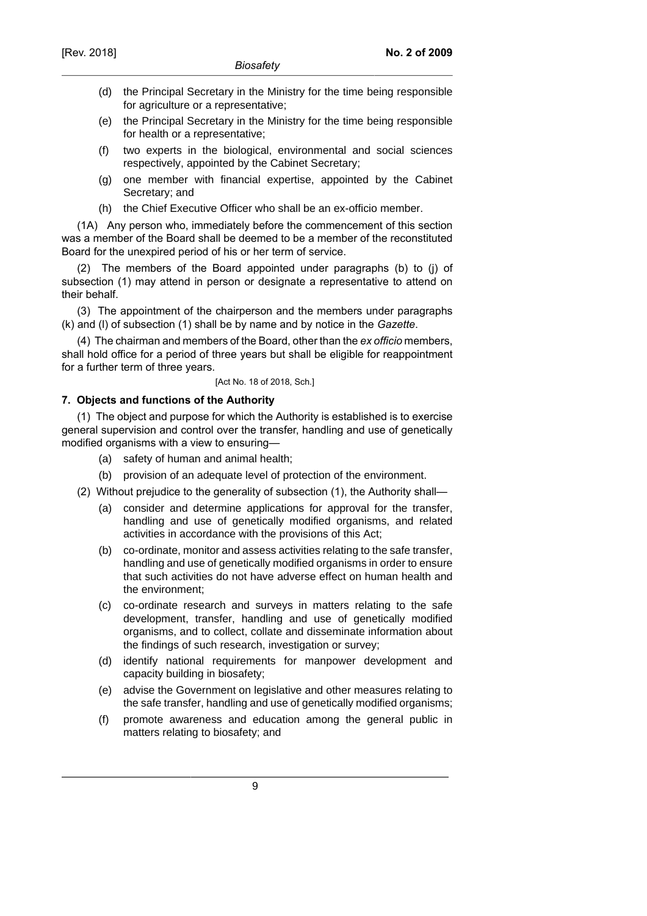- (d) the Principal Secretary in the Ministry for the time being responsible for agriculture or a representative;
- (e) the Principal Secretary in the Ministry for the time being responsible for health or a representative;
- (f) two experts in the biological, environmental and social sciences respectively, appointed by the Cabinet Secretary;
- (g) one member with financial expertise, appointed by the Cabinet Secretary; and
- (h) the Chief Executive Officer who shall be an ex-officio member.

(1A) Any person who, immediately before the commencement of this section was a member of the Board shall be deemed to be a member of the reconstituted Board for the unexpired period of his or her term of service.

(2) The members of the Board appointed under paragraphs (b) to (j) of subsection (1) may attend in person or designate a representative to attend on their behalf.

(3) The appointment of the chairperson and the members under paragraphs (k) and (l) of subsection (1) shall be by name and by notice in the *Gazette*.

(4) The chairman and members of the Board, other than the *ex officio* members, shall hold office for a period of three years but shall be eligible for reappointment for a further term of three years.

[Act No. 18 of 2018, Sch.]

### **7. Objects and functions of the Authority**

(1) The object and purpose for which the Authority is established is to exercise general supervision and control over the transfer, handling and use of genetically modified organisms with a view to ensuring—

- (a) safety of human and animal health;
- (b) provision of an adequate level of protection of the environment.
- (2) Without prejudice to the generality of subsection (1), the Authority shall—
	- (a) consider and determine applications for approval for the transfer, handling and use of genetically modified organisms, and related activities in accordance with the provisions of this Act;
	- (b) co-ordinate, monitor and assess activities relating to the safe transfer, handling and use of genetically modified organisms in order to ensure that such activities do not have adverse effect on human health and the environment;
	- (c) co-ordinate research and surveys in matters relating to the safe development, transfer, handling and use of genetically modified organisms, and to collect, collate and disseminate information about the findings of such research, investigation or survey;
	- (d) identify national requirements for manpower development and capacity building in biosafety;
	- (e) advise the Government on legislative and other measures relating to the safe transfer, handling and use of genetically modified organisms;
	- (f) promote awareness and education among the general public in matters relating to biosafety; and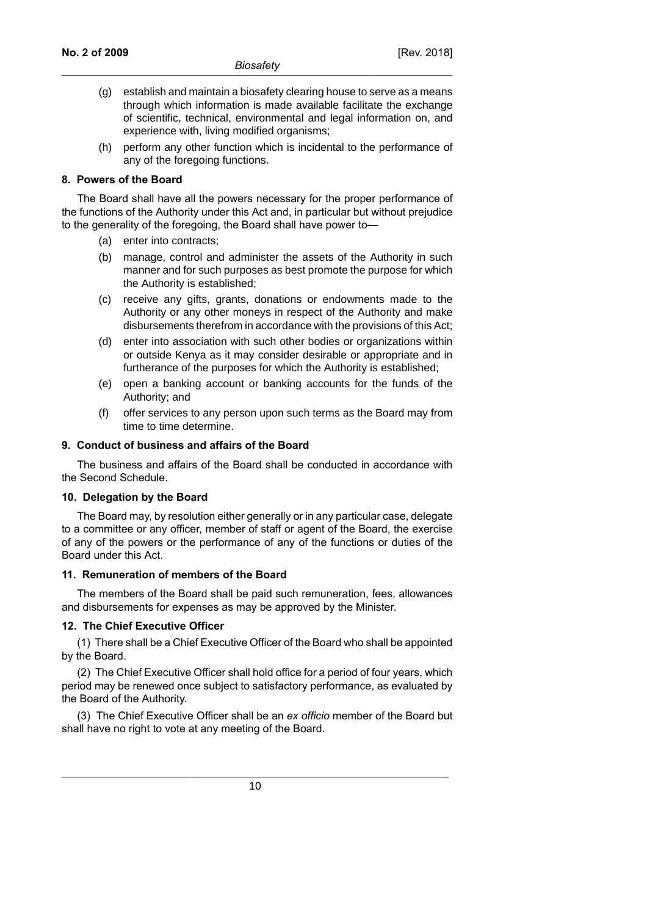- (g) establish and maintain a biosafety clearing house to serve as a means through which information is made available facilitate the exchange of scientific, technical, environmental and legal information on, and experience with, living modified organisms;
- (h) perform any other function which is incidental to the performance of any of the foregoing functions.

### **8. Powers of the Board**

The Board shall have all the powers necessary for the proper performance of the functions of the Authority under this Act and, in particular but without prejudice to the generality of the foregoing, the Board shall have power to—

- (a) enter into contracts;
- (b) manage, control and administer the assets of the Authority in such manner and for such purposes as best promote the purpose for which the Authority is established;
- (c) receive any gifts, grants, donations or endowments made to the Authority or any other moneys in respect of the Authority and make disbursements therefrom in accordance with the provisions of this Act;
- (d) enter into association with such other bodies or organizations within or outside Kenya as it may consider desirable or appropriate and in furtherance of the purposes for which the Authority is established;
- (e) open a banking account or banking accounts for the funds of the Authority; and
- (f) offer services to any person upon such terms as the Board may from time to time determine.

### **9. Conduct of business and affairs of the Board**

The business and affairs of the Board shall be conducted in accordance with the Second Schedule.

#### **10. Delegation by the Board**

The Board may, by resolution either generally or in any particular case, delegate to a committee or any officer, member of staff or agent of the Board, the exercise of any of the powers or the performance of any of the functions or duties of the Board under this Act.

### **11. Remuneration of members of the Board**

The members of the Board shall be paid such remuneration, fees, allowances and disbursements for expenses as may be approved by the Minister.

### **12. The Chief Executive Officer**

(1) There shall be a Chief Executive Officer of the Board who shall be appointed by the Board.

(2) The Chief Executive Officer shall hold office for a period of four years, which period may be renewed once subject to satisfactory performance, as evaluated by the Board of the Authority.

(3) The Chief Executive Officer shall be an *ex officio* member of the Board but shall have no right to vote at any meeting of the Board.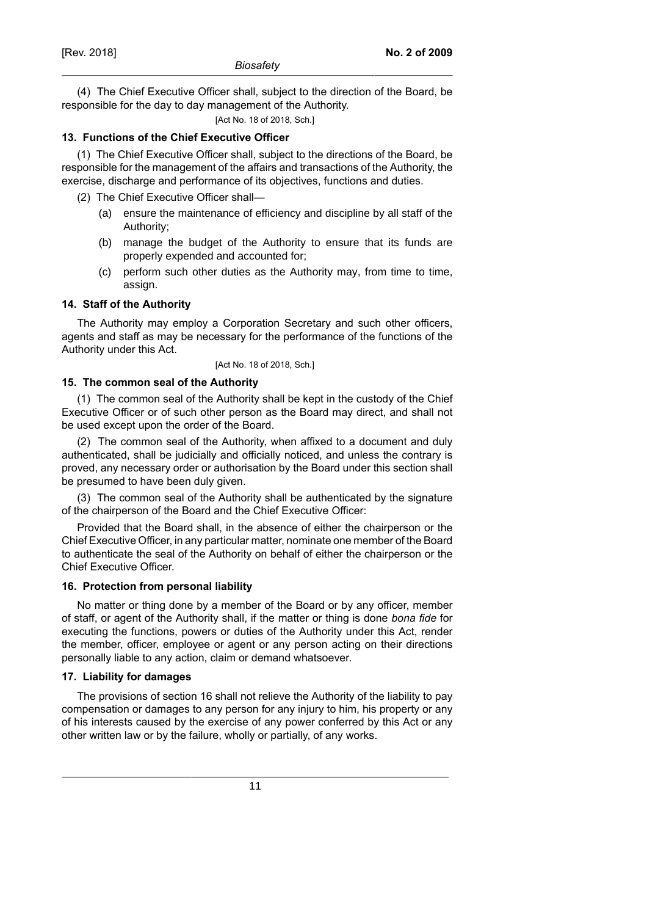(4) The Chief Executive Officer shall, subject to the direction of the Board, be responsible for the day to day management of the Authority.

[Act No. 18 of 2018, Sch.]

### **13. Functions of the Chief Executive Officer**

(1) The Chief Executive Officer shall, subject to the directions of the Board, be responsible for the management of the affairs and transactions of the Authority, the exercise, discharge and performance of its objectives, functions and duties.

(2) The Chief Executive Officer shall—

- (a) ensure the maintenance of efficiency and discipline by all staff of the Authority;
- (b) manage the budget of the Authority to ensure that its funds are properly expended and accounted for;
- (c) perform such other duties as the Authority may, from time to time, assign.

### **14. Staff of the Authority**

The Authority may employ a Corporation Secretary and such other officers, agents and staff as may be necessary for the performance of the functions of the Authority under this Act.

#### [Act No. 18 of 2018, Sch.]

### **15. The common seal of the Authority**

(1) The common seal of the Authority shall be kept in the custody of the Chief Executive Officer or of such other person as the Board may direct, and shall not be used except upon the order of the Board.

(2) The common seal of the Authority, when affixed to a document and duly authenticated, shall be judicially and officially noticed, and unless the contrary is proved, any necessary order or authorisation by the Board under this section shall be presumed to have been duly given.

(3) The common seal of the Authority shall be authenticated by the signature of the chairperson of the Board and the Chief Executive Officer:

Provided that the Board shall, in the absence of either the chairperson or the Chief Executive Officer, in any particular matter, nominate one member of the Board to authenticate the seal of the Authority on behalf of either the chairperson or the Chief Executive Officer.

#### **16. Protection from personal liability**

No matter or thing done by a member of the Board or by any officer, member of staff, or agent of the Authority shall, if the matter or thing is done *bona fide* for executing the functions, powers or duties of the Authority under this Act, render the member, officer, employee or agent or any person acting on their directions personally liable to any action, claim or demand whatsoever.

### **17. Liability for damages**

The provisions of section 16 shall not relieve the Authority of the liability to pay compensation or damages to any person for any injury to him, his property or any of his interests caused by the exercise of any power conferred by this Act or any other written law or by the failure, wholly or partially, of any works.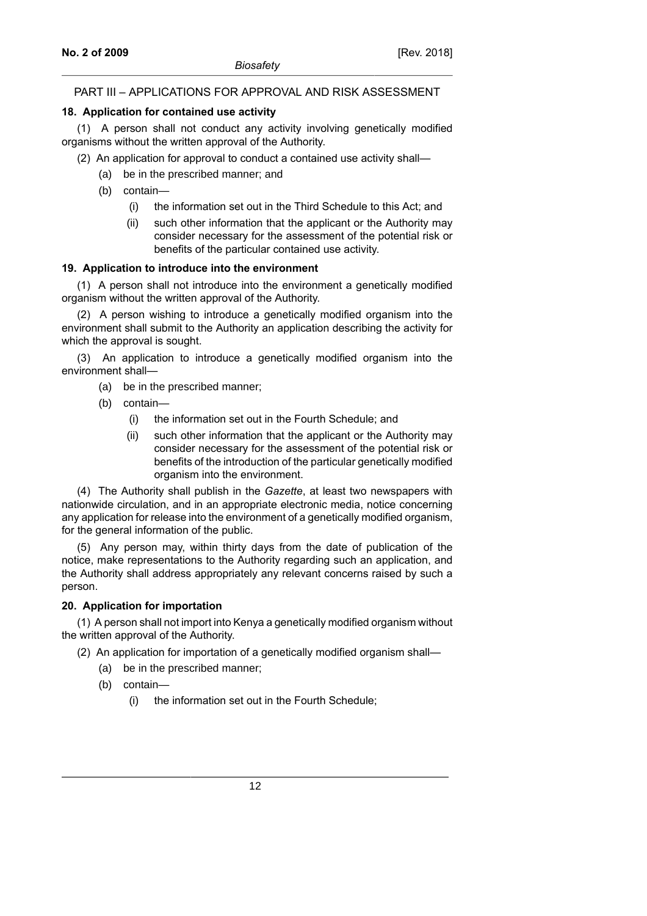## PART III – APPLICATIONS FOR APPROVAL AND RISK ASSESSMENT

### **18. Application for contained use activity**

(1) A person shall not conduct any activity involving genetically modified organisms without the written approval of the Authority.

- (2) An application for approval to conduct a contained use activity shall—
	- (a) be in the prescribed manner; and
	- (b) contain—
		- (i) the information set out in the Third Schedule to this Act; and
		- (ii) such other information that the applicant or the Authority may consider necessary for the assessment of the potential risk or benefits of the particular contained use activity.

### **19. Application to introduce into the environment**

(1) A person shall not introduce into the environment a genetically modified organism without the written approval of the Authority.

(2) A person wishing to introduce a genetically modified organism into the environment shall submit to the Authority an application describing the activity for which the approval is sought.

(3) An application to introduce a genetically modified organism into the environment shall—

- (a) be in the prescribed manner;
- (b) contain—
	- (i) the information set out in the Fourth Schedule; and
	- (ii) such other information that the applicant or the Authority may consider necessary for the assessment of the potential risk or benefits of the introduction of the particular genetically modified organism into the environment.

(4) The Authority shall publish in the *Gazette*, at least two newspapers with nationwide circulation, and in an appropriate electronic media, notice concerning any application for release into the environment of a genetically modified organism, for the general information of the public.

(5) Any person may, within thirty days from the date of publication of the notice, make representations to the Authority regarding such an application, and the Authority shall address appropriately any relevant concerns raised by such a person.

### **20. Application for importation**

(1) A person shall not import into Kenya a genetically modified organism without the written approval of the Authority.

(2) An application for importation of a genetically modified organism shall—

- (a) be in the prescribed manner;
- (b) contain—
	- (i) the information set out in the Fourth Schedule;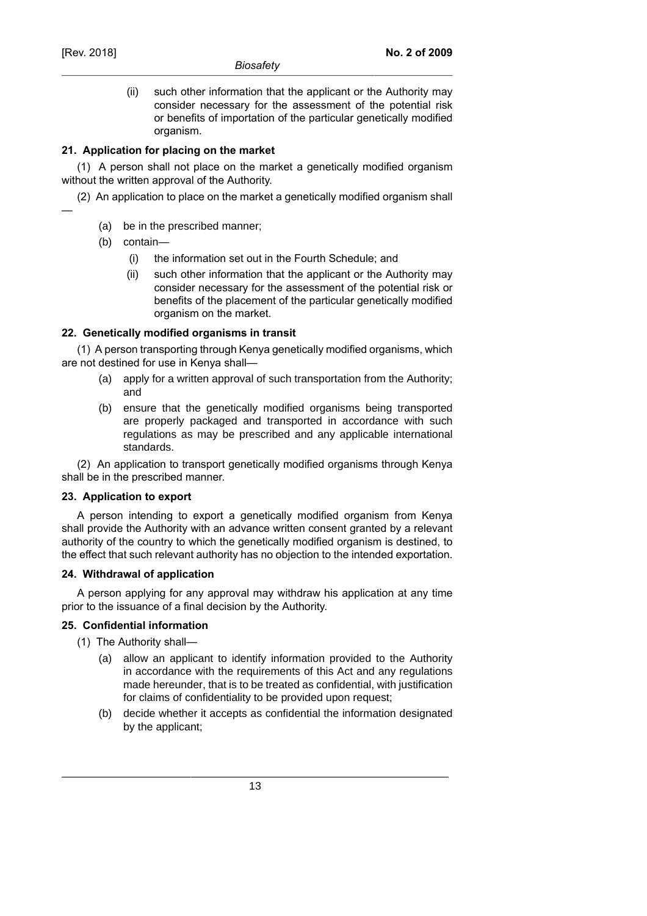—

(ii) such other information that the applicant or the Authority may consider necessary for the assessment of the potential risk or benefits of importation of the particular genetically modified organism.

### **21. Application for placing on the market**

(1) A person shall not place on the market a genetically modified organism without the written approval of the Authority.

(2) An application to place on the market a genetically modified organism shall

- (a) be in the prescribed manner;
- (b) contain—
	- (i) the information set out in the Fourth Schedule; and
	- (ii) such other information that the applicant or the Authority may consider necessary for the assessment of the potential risk or benefits of the placement of the particular genetically modified organism on the market.

### **22. Genetically modified organisms in transit**

(1) A person transporting through Kenya genetically modified organisms, which are not destined for use in Kenya shall—

- (a) apply for a written approval of such transportation from the Authority; and
- (b) ensure that the genetically modified organisms being transported are properly packaged and transported in accordance with such regulations as may be prescribed and any applicable international standards.

(2) An application to transport genetically modified organisms through Kenya shall be in the prescribed manner.

### **23. Application to export**

A person intending to export a genetically modified organism from Kenya shall provide the Authority with an advance written consent granted by a relevant authority of the country to which the genetically modified organism is destined, to the effect that such relevant authority has no objection to the intended exportation.

### **24. Withdrawal of application**

A person applying for any approval may withdraw his application at any time prior to the issuance of a final decision by the Authority.

### **25. Confidential information**

- (1) The Authority shall—
	- (a) allow an applicant to identify information provided to the Authority in accordance with the requirements of this Act and any regulations made hereunder, that is to be treated as confidential, with justification for claims of confidentiality to be provided upon request;
	- (b) decide whether it accepts as confidential the information designated by the applicant;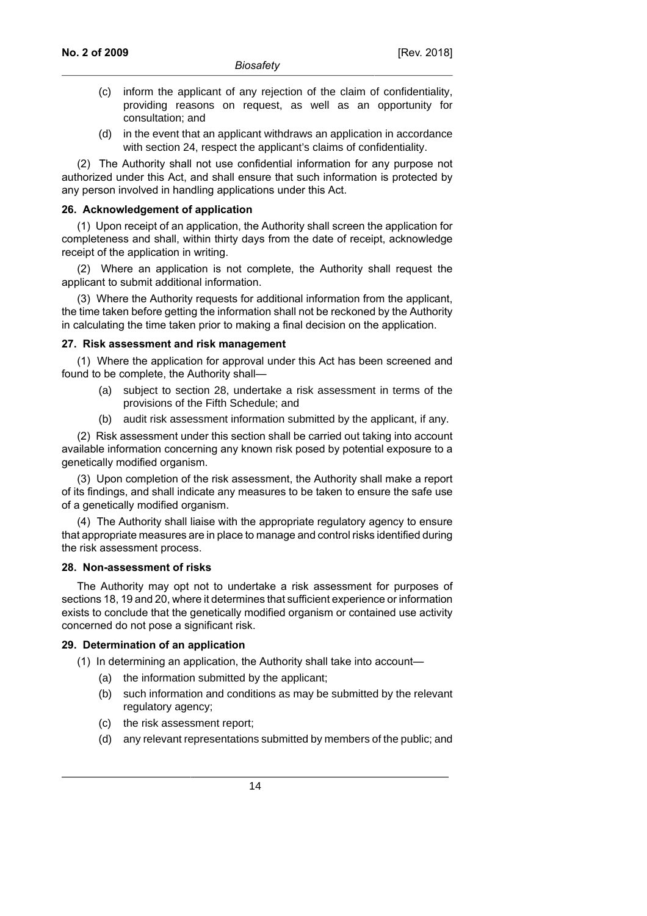- (c) inform the applicant of any rejection of the claim of confidentiality, providing reasons on request, as well as an opportunity for consultation; and
- (d) in the event that an applicant withdraws an application in accordance with section 24, respect the applicant's claims of confidentiality.

(2) The Authority shall not use confidential information for any purpose not authorized under this Act, and shall ensure that such information is protected by any person involved in handling applications under this Act.

#### **26. Acknowledgement of application**

(1) Upon receipt of an application, the Authority shall screen the application for completeness and shall, within thirty days from the date of receipt, acknowledge receipt of the application in writing.

(2) Where an application is not complete, the Authority shall request the applicant to submit additional information.

(3) Where the Authority requests for additional information from the applicant, the time taken before getting the information shall not be reckoned by the Authority in calculating the time taken prior to making a final decision on the application.

#### **27. Risk assessment and risk management**

(1) Where the application for approval under this Act has been screened and found to be complete, the Authority shall—

- (a) subject to section 28, undertake a risk assessment in terms of the provisions of the Fifth Schedule; and
- (b) audit risk assessment information submitted by the applicant, if any.

(2) Risk assessment under this section shall be carried out taking into account available information concerning any known risk posed by potential exposure to a genetically modified organism.

(3) Upon completion of the risk assessment, the Authority shall make a report of its findings, and shall indicate any measures to be taken to ensure the safe use of a genetically modified organism.

(4) The Authority shall liaise with the appropriate regulatory agency to ensure that appropriate measures are in place to manage and control risks identified during the risk assessment process.

#### **28. Non-assessment of risks**

The Authority may opt not to undertake a risk assessment for purposes of sections 18, 19 and 20, where it determines that sufficient experience or information exists to conclude that the genetically modified organism or contained use activity concerned do not pose a significant risk.

#### **29. Determination of an application**

- (1) In determining an application, the Authority shall take into account—
	- (a) the information submitted by the applicant;
	- (b) such information and conditions as may be submitted by the relevant regulatory agency;
	- (c) the risk assessment report;
	- (d) any relevant representations submitted by members of the public; and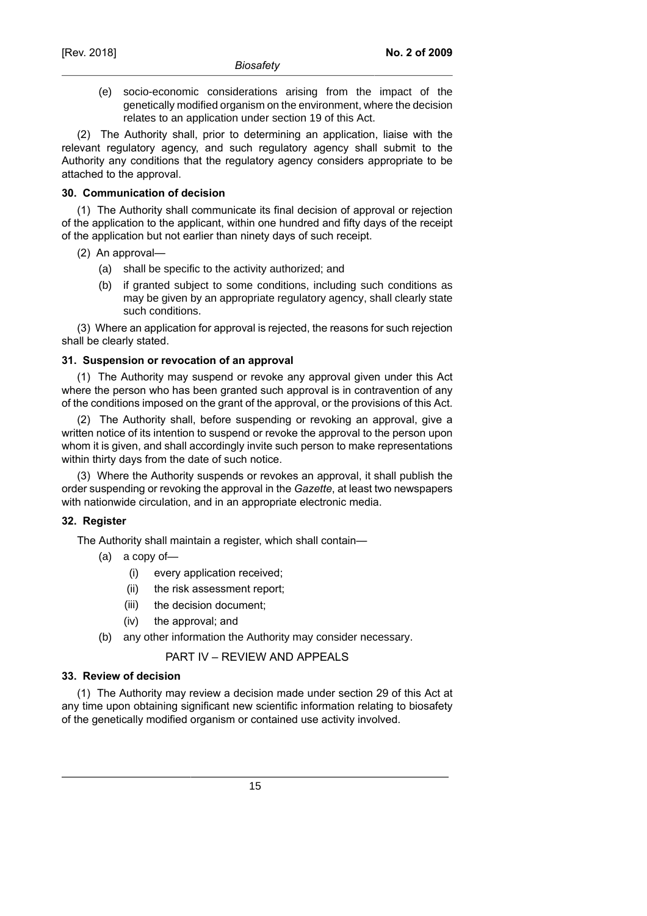(e) socio-economic considerations arising from the impact of the genetically modified organism on the environment, where the decision relates to an application under section 19 of this Act.

(2) The Authority shall, prior to determining an application, liaise with the relevant regulatory agency, and such regulatory agency shall submit to the Authority any conditions that the regulatory agency considers appropriate to be attached to the approval.

### **30. Communication of decision**

(1) The Authority shall communicate its final decision of approval or rejection of the application to the applicant, within one hundred and fifty days of the receipt of the application but not earlier than ninety days of such receipt.

- (2) An approval—
	- (a) shall be specific to the activity authorized; and
	- (b) if granted subject to some conditions, including such conditions as may be given by an appropriate regulatory agency, shall clearly state such conditions.

(3) Where an application for approval is rejected, the reasons for such rejection shall be clearly stated.

### **31. Suspension or revocation of an approval**

(1) The Authority may suspend or revoke any approval given under this Act where the person who has been granted such approval is in contravention of any of the conditions imposed on the grant of the approval, or the provisions of this Act.

(2) The Authority shall, before suspending or revoking an approval, give a written notice of its intention to suspend or revoke the approval to the person upon whom it is given, and shall accordingly invite such person to make representations within thirty days from the date of such notice.

(3) Where the Authority suspends or revokes an approval, it shall publish the order suspending or revoking the approval in the *Gazette*, at least two newspapers with nationwide circulation, and in an appropriate electronic media.

#### **32. Register**

The Authority shall maintain a register, which shall contain—

- (a) a copy of—
	- (i) every application received;
	- (ii) the risk assessment report;
	- (iii) the decision document;
	- (iv) the approval; and
- (b) any other information the Authority may consider necessary.

#### PART IV – REVIEW AND APPEALS

#### **33. Review of decision**

(1) The Authority may review a decision made under section 29 of this Act at any time upon obtaining significant new scientific information relating to biosafety of the genetically modified organism or contained use activity involved.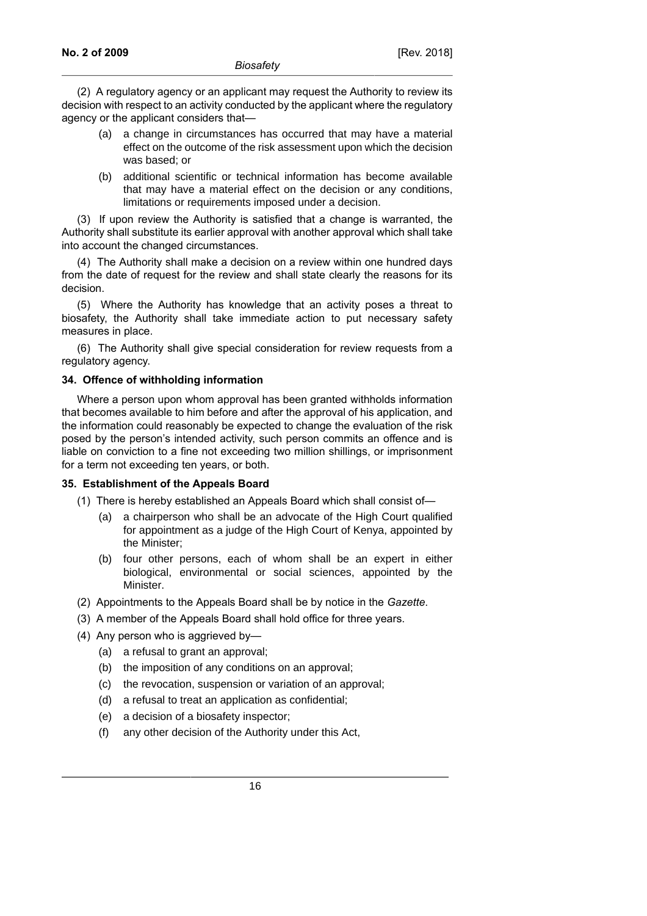(2) A regulatory agency or an applicant may request the Authority to review its decision with respect to an activity conducted by the applicant where the regulatory agency or the applicant considers that—

- (a) a change in circumstances has occurred that may have a material effect on the outcome of the risk assessment upon which the decision was based; or
- (b) additional scientific or technical information has become available that may have a material effect on the decision or any conditions, limitations or requirements imposed under a decision.

(3) If upon review the Authority is satisfied that a change is warranted, the Authority shall substitute its earlier approval with another approval which shall take into account the changed circumstances.

(4) The Authority shall make a decision on a review within one hundred days from the date of request for the review and shall state clearly the reasons for its decision.

(5) Where the Authority has knowledge that an activity poses a threat to biosafety, the Authority shall take immediate action to put necessary safety measures in place.

(6) The Authority shall give special consideration for review requests from a regulatory agency.

### **34. Offence of withholding information**

Where a person upon whom approval has been granted withholds information that becomes available to him before and after the approval of his application, and the information could reasonably be expected to change the evaluation of the risk posed by the person's intended activity, such person commits an offence and is liable on conviction to a fine not exceeding two million shillings, or imprisonment for a term not exceeding ten years, or both.

#### **35. Establishment of the Appeals Board**

- (1) There is hereby established an Appeals Board which shall consist of—
	- (a) a chairperson who shall be an advocate of the High Court qualified for appointment as a judge of the High Court of Kenya, appointed by the Minister;
	- (b) four other persons, each of whom shall be an expert in either biological, environmental or social sciences, appointed by the Minister.
- (2) Appointments to the Appeals Board shall be by notice in the *Gazette*.
- (3) A member of the Appeals Board shall hold office for three years.
- (4) Any person who is aggrieved by—
	- (a) a refusal to grant an approval;
	- (b) the imposition of any conditions on an approval;
	- (c) the revocation, suspension or variation of an approval;
	- (d) a refusal to treat an application as confidential;
	- (e) a decision of a biosafety inspector;
	- (f) any other decision of the Authority under this Act,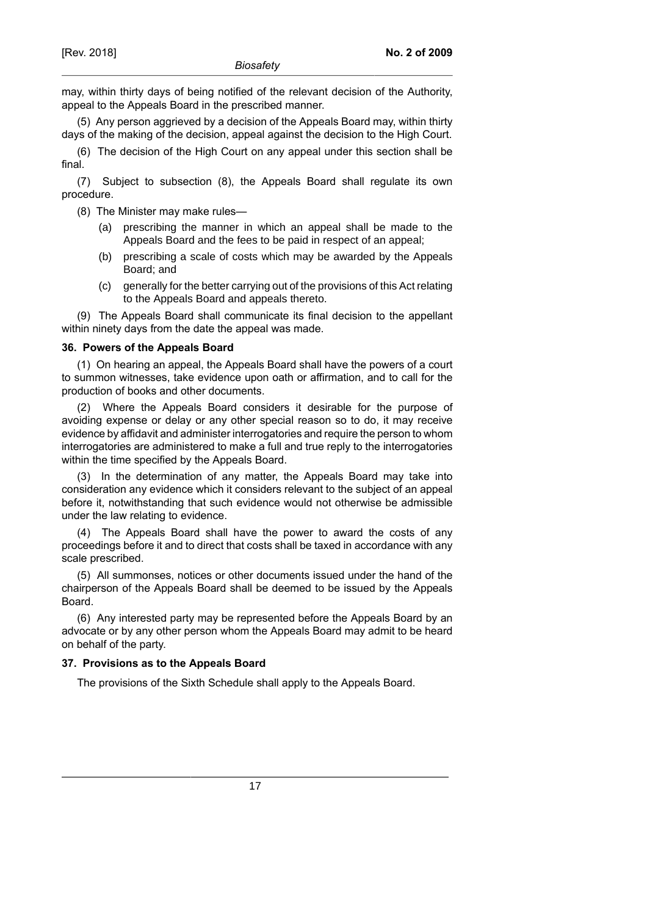may, within thirty days of being notified of the relevant decision of the Authority, appeal to the Appeals Board in the prescribed manner.

(5) Any person aggrieved by a decision of the Appeals Board may, within thirty days of the making of the decision, appeal against the decision to the High Court.

(6) The decision of the High Court on any appeal under this section shall be final.

(7) Subject to subsection (8), the Appeals Board shall regulate its own procedure.

(8) The Minister may make rules—

- (a) prescribing the manner in which an appeal shall be made to the Appeals Board and the fees to be paid in respect of an appeal;
- (b) prescribing a scale of costs which may be awarded by the Appeals Board; and
- (c) generally for the better carrying out of the provisions of this Act relating to the Appeals Board and appeals thereto.

(9) The Appeals Board shall communicate its final decision to the appellant within ninety days from the date the appeal was made.

#### **36. Powers of the Appeals Board**

(1) On hearing an appeal, the Appeals Board shall have the powers of a court to summon witnesses, take evidence upon oath or affirmation, and to call for the production of books and other documents.

(2) Where the Appeals Board considers it desirable for the purpose of avoiding expense or delay or any other special reason so to do, it may receive evidence by affidavit and administer interrogatories and require the person to whom interrogatories are administered to make a full and true reply to the interrogatories within the time specified by the Appeals Board.

(3) In the determination of any matter, the Appeals Board may take into consideration any evidence which it considers relevant to the subject of an appeal before it, notwithstanding that such evidence would not otherwise be admissible under the law relating to evidence.

(4) The Appeals Board shall have the power to award the costs of any proceedings before it and to direct that costs shall be taxed in accordance with any scale prescribed.

(5) All summonses, notices or other documents issued under the hand of the chairperson of the Appeals Board shall be deemed to be issued by the Appeals Board.

(6) Any interested party may be represented before the Appeals Board by an advocate or by any other person whom the Appeals Board may admit to be heard on behalf of the party.

#### **37. Provisions as to the Appeals Board**

The provisions of the Sixth Schedule shall apply to the Appeals Board.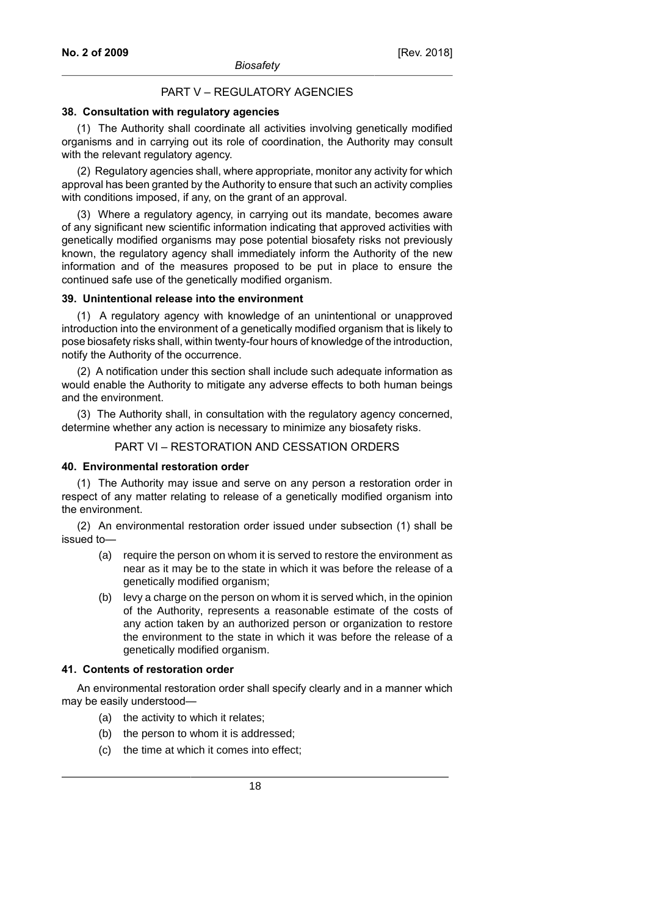### PART V – REGULATORY AGENCIES

#### **38. Consultation with regulatory agencies**

(1) The Authority shall coordinate all activities involving genetically modified organisms and in carrying out its role of coordination, the Authority may consult with the relevant regulatory agency.

(2) Regulatory agencies shall, where appropriate, monitor any activity for which approval has been granted by the Authority to ensure that such an activity complies with conditions imposed, if any, on the grant of an approval.

(3) Where a regulatory agency, in carrying out its mandate, becomes aware of any significant new scientific information indicating that approved activities with genetically modified organisms may pose potential biosafety risks not previously known, the regulatory agency shall immediately inform the Authority of the new information and of the measures proposed to be put in place to ensure the continued safe use of the genetically modified organism.

#### **39. Unintentional release into the environment**

(1) A regulatory agency with knowledge of an unintentional or unapproved introduction into the environment of a genetically modified organism that is likely to pose biosafety risks shall, within twenty-four hours of knowledge of the introduction, notify the Authority of the occurrence.

(2) A notification under this section shall include such adequate information as would enable the Authority to mitigate any adverse effects to both human beings and the environment.

(3) The Authority shall, in consultation with the regulatory agency concerned, determine whether any action is necessary to minimize any biosafety risks.

### PART VI – RESTORATION AND CESSATION ORDERS

#### **40. Environmental restoration order**

(1) The Authority may issue and serve on any person a restoration order in respect of any matter relating to release of a genetically modified organism into the environment.

(2) An environmental restoration order issued under subsection (1) shall be issued to—

- (a) require the person on whom it is served to restore the environment as near as it may be to the state in which it was before the release of a genetically modified organism;
- (b) levy a charge on the person on whom it is served which, in the opinion of the Authority, represents a reasonable estimate of the costs of any action taken by an authorized person or organization to restore the environment to the state in which it was before the release of a genetically modified organism.

#### **41. Contents of restoration order**

An environmental restoration order shall specify clearly and in a manner which may be easily understood—

- (a) the activity to which it relates;
- (b) the person to whom it is addressed;
- (c) the time at which it comes into effect;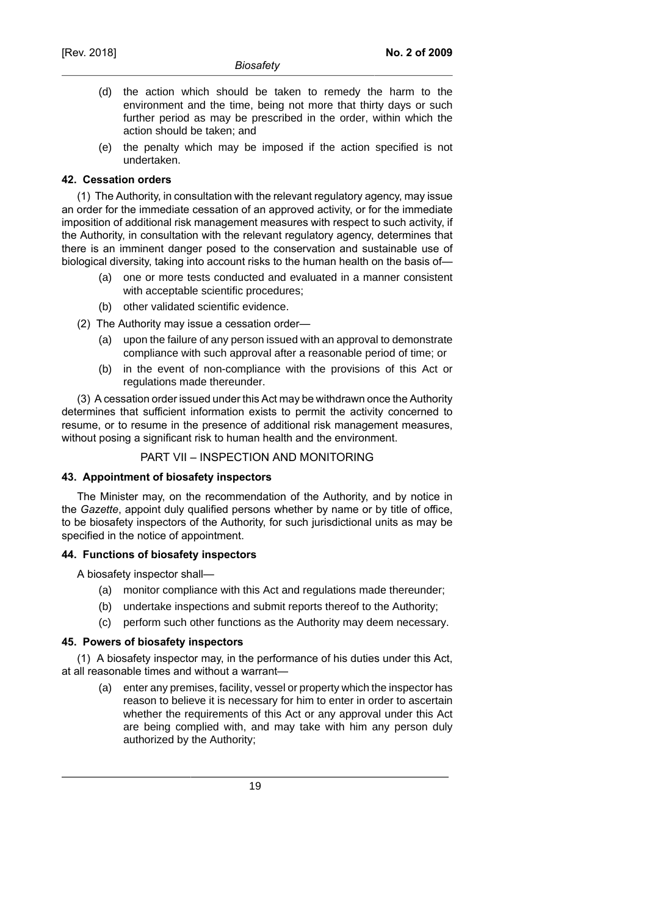- (d) the action which should be taken to remedy the harm to the environment and the time, being not more that thirty days or such further period as may be prescribed in the order, within which the action should be taken; and
- (e) the penalty which may be imposed if the action specified is not undertaken.

### **42. Cessation orders**

(1) The Authority, in consultation with the relevant regulatory agency, may issue an order for the immediate cessation of an approved activity, or for the immediate imposition of additional risk management measures with respect to such activity, if the Authority, in consultation with the relevant regulatory agency, determines that there is an imminent danger posed to the conservation and sustainable use of biological diversity, taking into account risks to the human health on the basis of—

- (a) one or more tests conducted and evaluated in a manner consistent with acceptable scientific procedures;
- (b) other validated scientific evidence.
- (2) The Authority may issue a cessation order—
	- (a) upon the failure of any person issued with an approval to demonstrate compliance with such approval after a reasonable period of time; or
	- (b) in the event of non-compliance with the provisions of this Act or regulations made thereunder.

(3) A cessation order issued under this Act may be withdrawn once the Authority determines that sufficient information exists to permit the activity concerned to resume, or to resume in the presence of additional risk management measures, without posing a significant risk to human health and the environment.

### PART VII – INSPECTION AND MONITORING

#### **43. Appointment of biosafety inspectors**

The Minister may, on the recommendation of the Authority, and by notice in the *Gazette*, appoint duly qualified persons whether by name or by title of office, to be biosafety inspectors of the Authority, for such jurisdictional units as may be specified in the notice of appointment.

#### **44. Functions of biosafety inspectors**

A biosafety inspector shall—

- (a) monitor compliance with this Act and regulations made thereunder;
- (b) undertake inspections and submit reports thereof to the Authority;
- (c) perform such other functions as the Authority may deem necessary.

#### **45. Powers of biosafety inspectors**

(1) A biosafety inspector may, in the performance of his duties under this Act, at all reasonable times and without a warrant—

(a) enter any premises, facility, vessel or property which the inspector has reason to believe it is necessary for him to enter in order to ascertain whether the requirements of this Act or any approval under this Act are being complied with, and may take with him any person duly authorized by the Authority;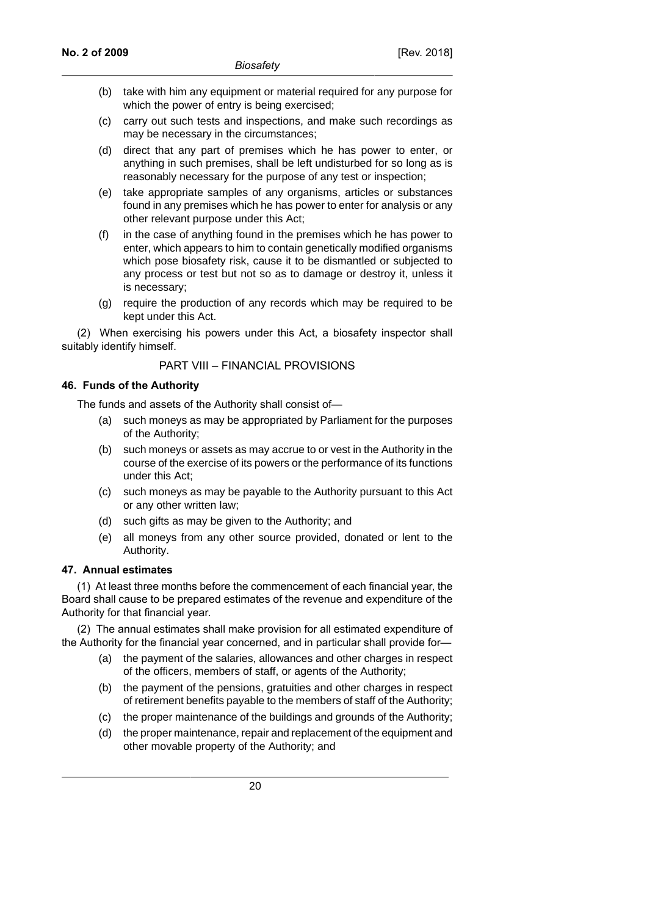- (b) take with him any equipment or material required for any purpose for which the power of entry is being exercised;
- (c) carry out such tests and inspections, and make such recordings as may be necessary in the circumstances;
- (d) direct that any part of premises which he has power to enter, or anything in such premises, shall be left undisturbed for so long as is reasonably necessary for the purpose of any test or inspection;
- (e) take appropriate samples of any organisms, articles or substances found in any premises which he has power to enter for analysis or any other relevant purpose under this Act;
- (f) in the case of anything found in the premises which he has power to enter, which appears to him to contain genetically modified organisms which pose biosafety risk, cause it to be dismantled or subjected to any process or test but not so as to damage or destroy it, unless it is necessary;
- (g) require the production of any records which may be required to be kept under this Act.

(2) When exercising his powers under this Act, a biosafety inspector shall suitably identify himself.

## PART VIII – FINANCIAL PROVISIONS

## **46. Funds of the Authority**

The funds and assets of the Authority shall consist of—

- (a) such moneys as may be appropriated by Parliament for the purposes of the Authority;
- (b) such moneys or assets as may accrue to or vest in the Authority in the course of the exercise of its powers or the performance of its functions under this Act;
- (c) such moneys as may be payable to the Authority pursuant to this Act or any other written law;
- (d) such gifts as may be given to the Authority; and
- (e) all moneys from any other source provided, donated or lent to the Authority.

### **47. Annual estimates**

(1) At least three months before the commencement of each financial year, the Board shall cause to be prepared estimates of the revenue and expenditure of the Authority for that financial year.

(2) The annual estimates shall make provision for all estimated expenditure of the Authority for the financial year concerned, and in particular shall provide for—

- (a) the payment of the salaries, allowances and other charges in respect of the officers, members of staff, or agents of the Authority;
- (b) the payment of the pensions, gratuities and other charges in respect of retirement benefits payable to the members of staff of the Authority;
- (c) the proper maintenance of the buildings and grounds of the Authority;
- (d) the proper maintenance, repair and replacement of the equipment and other movable property of the Authority; and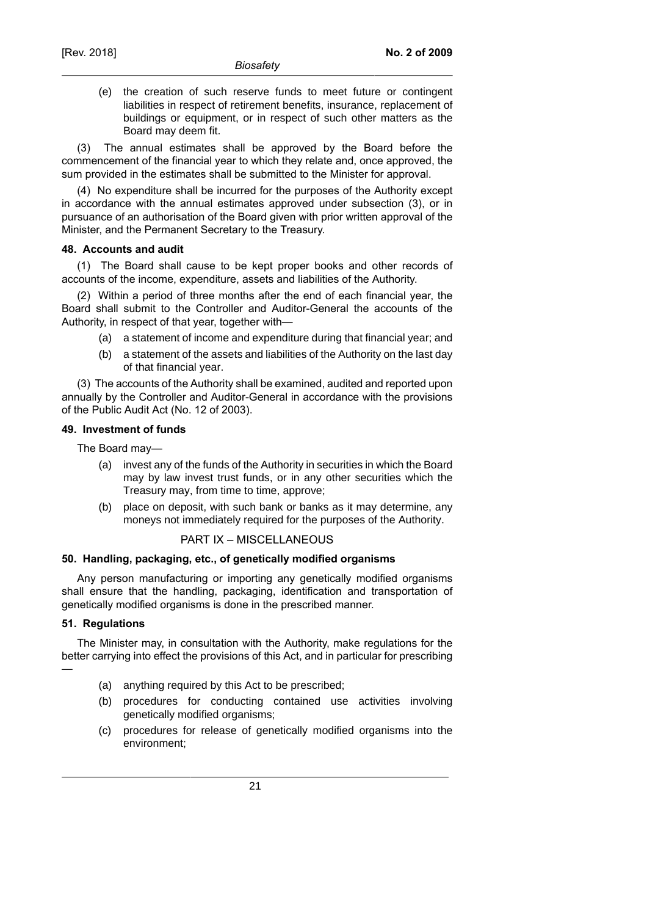(e) the creation of such reserve funds to meet future or contingent liabilities in respect of retirement benefits, insurance, replacement of buildings or equipment, or in respect of such other matters as the Board may deem fit.

(3) The annual estimates shall be approved by the Board before the commencement of the financial year to which they relate and, once approved, the sum provided in the estimates shall be submitted to the Minister for approval.

(4) No expenditure shall be incurred for the purposes of the Authority except in accordance with the annual estimates approved under subsection (3), or in pursuance of an authorisation of the Board given with prior written approval of the Minister, and the Permanent Secretary to the Treasury.

### **48. Accounts and audit**

(1) The Board shall cause to be kept proper books and other records of accounts of the income, expenditure, assets and liabilities of the Authority.

(2) Within a period of three months after the end of each financial year, the Board shall submit to the Controller and Auditor-General the accounts of the Authority, in respect of that year, together with—

- (a) a statement of income and expenditure during that financial year; and
- (b) a statement of the assets and liabilities of the Authority on the last day of that financial year.

(3) The accounts of the Authority shall be examined, audited and reported upon annually by the Controller and Auditor-General in accordance with the provisions of the Public Audit Act (No. 12 of 2003).

### **49. Investment of funds**

The Board may—

- (a) invest any of the funds of the Authority in securities in which the Board may by law invest trust funds, or in any other securities which the Treasury may, from time to time, approve;
- (b) place on deposit, with such bank or banks as it may determine, any moneys not immediately required for the purposes of the Authority.

### PART IX – MISCELLANEOUS

### **50. Handling, packaging, etc., of genetically modified organisms**

Any person manufacturing or importing any genetically modified organisms shall ensure that the handling, packaging, identification and transportation of genetically modified organisms is done in the prescribed manner.

### **51. Regulations**

The Minister may, in consultation with the Authority, make regulations for the better carrying into effect the provisions of this Act, and in particular for prescribing —

- (a) anything required by this Act to be prescribed;
- (b) procedures for conducting contained use activities involving genetically modified organisms;
- (c) procedures for release of genetically modified organisms into the environment;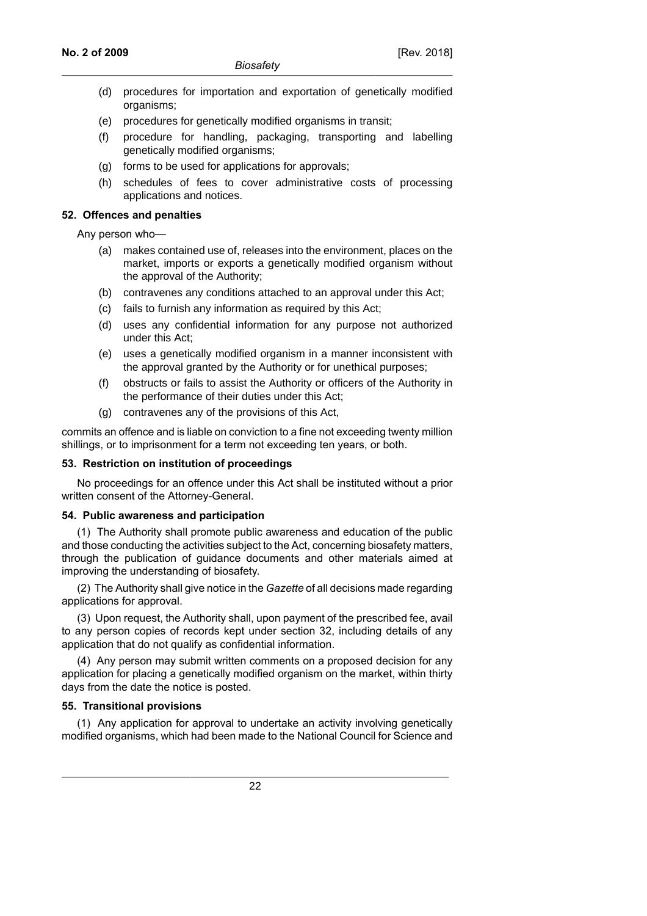- (d) procedures for importation and exportation of genetically modified organisms;
- (e) procedures for genetically modified organisms in transit;
- (f) procedure for handling, packaging, transporting and labelling genetically modified organisms;
- (g) forms to be used for applications for approvals;
- (h) schedules of fees to cover administrative costs of processing applications and notices.

### **52. Offences and penalties**

Any person who—

- (a) makes contained use of, releases into the environment, places on the market, imports or exports a genetically modified organism without the approval of the Authority;
- (b) contravenes any conditions attached to an approval under this Act;
- (c) fails to furnish any information as required by this Act;
- (d) uses any confidential information for any purpose not authorized under this Act;
- (e) uses a genetically modified organism in a manner inconsistent with the approval granted by the Authority or for unethical purposes;
- (f) obstructs or fails to assist the Authority or officers of the Authority in the performance of their duties under this Act;
- (g) contravenes any of the provisions of this Act,

commits an offence and is liable on conviction to a fine not exceeding twenty million shillings, or to imprisonment for a term not exceeding ten years, or both.

#### **53. Restriction on institution of proceedings**

No proceedings for an offence under this Act shall be instituted without a prior written consent of the Attorney-General.

#### **54. Public awareness and participation**

(1) The Authority shall promote public awareness and education of the public and those conducting the activities subject to the Act, concerning biosafety matters, through the publication of guidance documents and other materials aimed at improving the understanding of biosafety.

(2) The Authority shall give notice in the *Gazette* of all decisions made regarding applications for approval.

(3) Upon request, the Authority shall, upon payment of the prescribed fee, avail to any person copies of records kept under section 32, including details of any application that do not qualify as confidential information.

(4) Any person may submit written comments on a proposed decision for any application for placing a genetically modified organism on the market, within thirty days from the date the notice is posted.

#### **55. Transitional provisions**

(1) Any application for approval to undertake an activity involving genetically modified organisms, which had been made to the National Council for Science and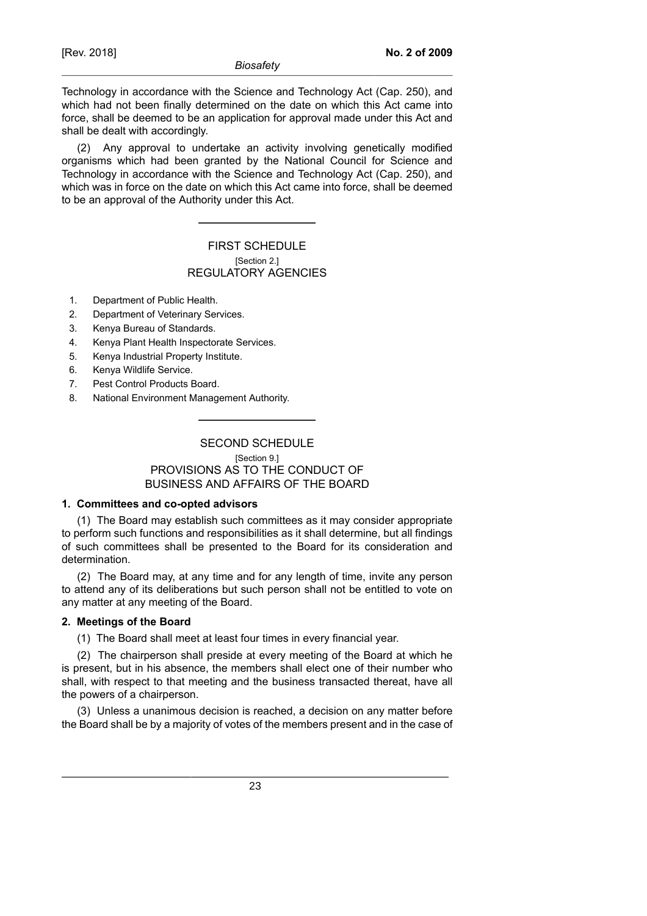Technology in accordance with the Science and Technology Act (Cap. 250), and which had not been finally determined on the date on which this Act came into force, shall be deemed to be an application for approval made under this Act and shall be dealt with accordingly.

(2) Any approval to undertake an activity involving genetically modified organisms which had been granted by the National Council for Science and Technology in accordance with the Science and Technology Act (Cap. 250), and which was in force on the date on which this Act came into force, shall be deemed to be an approval of the Authority under this Act.

## FIRST SCHEDULE [Section 2.] REGULATORY AGENCIES

- 1. Department of Public Health.
- 2. Department of Veterinary Services.
- 3. Kenya Bureau of Standards.
- 4. Kenya Plant Health Inspectorate Services.
- 5. Kenya Industrial Property Institute.
- 6. Kenya Wildlife Service.
- 7. Pest Control Products Board.
- 8. National Environment Management Authority.

SECOND SCHEDULE

#### [Section 9.] PROVISIONS AS TO THE CONDUCT OF BUSINESS AND AFFAIRS OF THE BOARD

#### **1. Committees and co-opted advisors**

(1) The Board may establish such committees as it may consider appropriate to perform such functions and responsibilities as it shall determine, but all findings of such committees shall be presented to the Board for its consideration and determination.

(2) The Board may, at any time and for any length of time, invite any person to attend any of its deliberations but such person shall not be entitled to vote on any matter at any meeting of the Board.

### **2. Meetings of the Board**

(1) The Board shall meet at least four times in every financial year.

(2) The chairperson shall preside at every meeting of the Board at which he is present, but in his absence, the members shall elect one of their number who shall, with respect to that meeting and the business transacted thereat, have all the powers of a chairperson.

(3) Unless a unanimous decision is reached, a decision on any matter before the Board shall be by a majority of votes of the members present and in the case of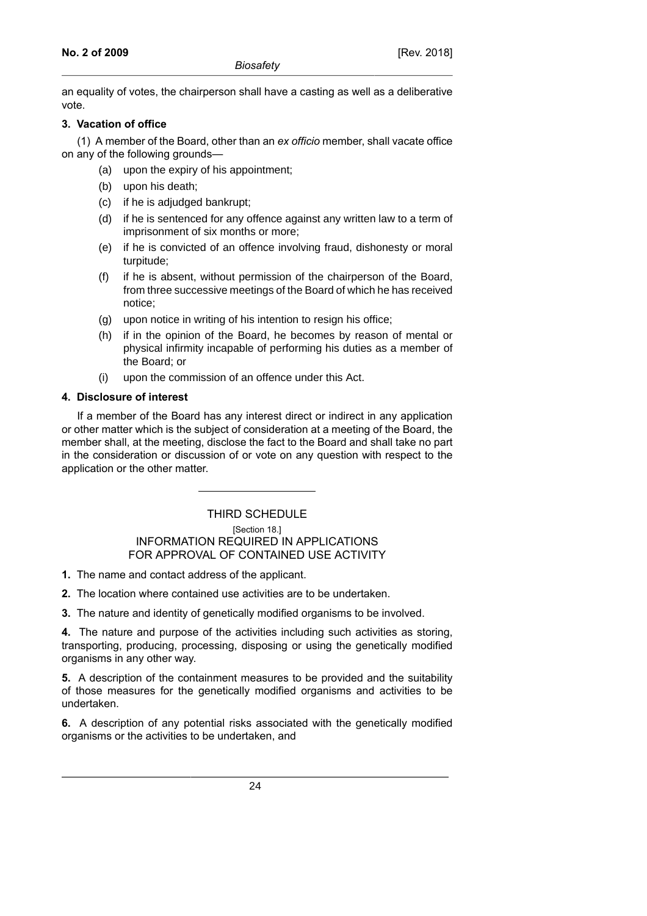an equality of votes, the chairperson shall have a casting as well as a deliberative vote.

### **3. Vacation of office**

(1) A member of the Board, other than an *ex officio* member, shall vacate office on any of the following grounds—

- (a) upon the expiry of his appointment;
- (b) upon his death;
- (c) if he is adjudged bankrupt;
- (d) if he is sentenced for any offence against any written law to a term of imprisonment of six months or more;
- (e) if he is convicted of an offence involving fraud, dishonesty or moral turpitude;
- (f) if he is absent, without permission of the chairperson of the Board, from three successive meetings of the Board of which he has received notice;
- (g) upon notice in writing of his intention to resign his office;
- (h) if in the opinion of the Board, he becomes by reason of mental or physical infirmity incapable of performing his duties as a member of the Board; or
- (i) upon the commission of an offence under this Act.

### **4. Disclosure of interest**

If a member of the Board has any interest direct or indirect in any application or other matter which is the subject of consideration at a meeting of the Board, the member shall, at the meeting, disclose the fact to the Board and shall take no part in the consideration or discussion of or vote on any question with respect to the application or the other matter.

#### THIRD SCHEDULE

### [Section 18.] INFORMATION REQUIRED IN APPLICATIONS FOR APPROVAL OF CONTAINED USE ACTIVITY

- **1.** The name and contact address of the applicant.
- **2.** The location where contained use activities are to be undertaken.
- **3.** The nature and identity of genetically modified organisms to be involved.

**4.** The nature and purpose of the activities including such activities as storing, transporting, producing, processing, disposing or using the genetically modified organisms in any other way.

**5.** A description of the containment measures to be provided and the suitability of those measures for the genetically modified organisms and activities to be undertaken.

**6.** A description of any potential risks associated with the genetically modified organisms or the activities to be undertaken, and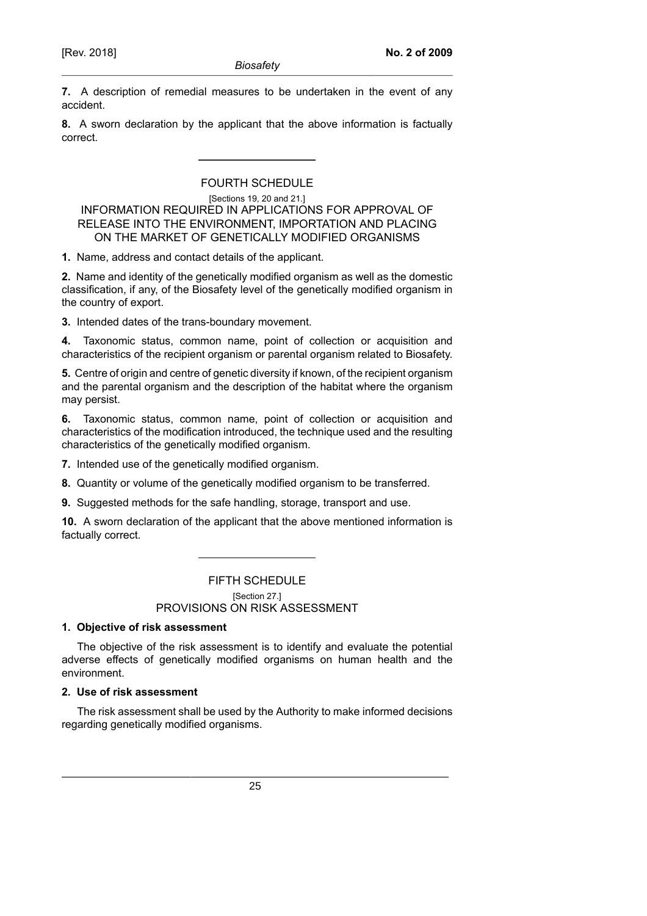**7.** A description of remedial measures to be undertaken in the event of any accident.

**8.** A sworn declaration by the applicant that the above information is factually correct.

FOURTH SCHEDULE

## [Sections 19, 20 and 21.]

INFORMATION REQUIRED IN APPLICATIONS FOR APPROVAL OF RELEASE INTO THE ENVIRONMENT, IMPORTATION AND PLACING ON THE MARKET OF GENETICALLY MODIFIED ORGANISMS

**1.** Name, address and contact details of the applicant.

**2.** Name and identity of the genetically modified organism as well as the domestic classification, if any, of the Biosafety level of the genetically modified organism in the country of export.

**3.** Intended dates of the trans-boundary movement.

**4.** Taxonomic status, common name, point of collection or acquisition and characteristics of the recipient organism or parental organism related to Biosafety.

**5.** Centre of origin and centre of genetic diversity if known, of the recipient organism and the parental organism and the description of the habitat where the organism may persist.

**6.** Taxonomic status, common name, point of collection or acquisition and characteristics of the modification introduced, the technique used and the resulting characteristics of the genetically modified organism.

**7.** Intended use of the genetically modified organism.

**8.** Quantity or volume of the genetically modified organism to be transferred.

**9.** Suggested methods for the safe handling, storage, transport and use.

**10.** A sworn declaration of the applicant that the above mentioned information is factually correct.

> FIFTH SCHEDULE [Section 27.] PROVISIONS ON RISK ASSESSMENT

### **1. Objective of risk assessment**

The objective of the risk assessment is to identify and evaluate the potential adverse effects of genetically modified organisms on human health and the environment.

### **2. Use of risk assessment**

The risk assessment shall be used by the Authority to make informed decisions regarding genetically modified organisms.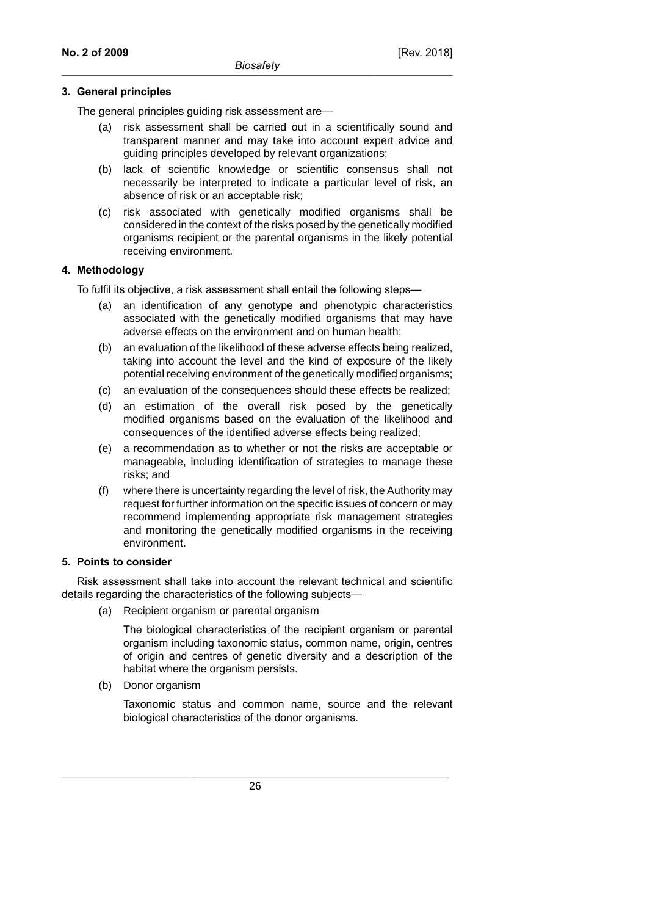### **3. General principles**

The general principles guiding risk assessment are—

- (a) risk assessment shall be carried out in a scientifically sound and transparent manner and may take into account expert advice and guiding principles developed by relevant organizations;
- (b) lack of scientific knowledge or scientific consensus shall not necessarily be interpreted to indicate a particular level of risk, an absence of risk or an acceptable risk;
- (c) risk associated with genetically modified organisms shall be considered in the context of the risks posed by the genetically modified organisms recipient or the parental organisms in the likely potential receiving environment.

### **4. Methodology**

To fulfil its objective, a risk assessment shall entail the following steps—

- (a) an identification of any genotype and phenotypic characteristics associated with the genetically modified organisms that may have adverse effects on the environment and on human health;
- (b) an evaluation of the likelihood of these adverse effects being realized, taking into account the level and the kind of exposure of the likely potential receiving environment of the genetically modified organisms;
- (c) an evaluation of the consequences should these effects be realized;
- (d) an estimation of the overall risk posed by the genetically modified organisms based on the evaluation of the likelihood and consequences of the identified adverse effects being realized;
- (e) a recommendation as to whether or not the risks are acceptable or manageable, including identification of strategies to manage these risks; and
- (f) where there is uncertainty regarding the level of risk, the Authority may request for further information on the specific issues of concern or may recommend implementing appropriate risk management strategies and monitoring the genetically modified organisms in the receiving environment.

#### **5. Points to consider**

Risk assessment shall take into account the relevant technical and scientific details regarding the characteristics of the following subjects—

(a) Recipient organism or parental organism

The biological characteristics of the recipient organism or parental organism including taxonomic status, common name, origin, centres of origin and centres of genetic diversity and a description of the habitat where the organism persists.

(b) Donor organism

Taxonomic status and common name, source and the relevant biological characteristics of the donor organisms.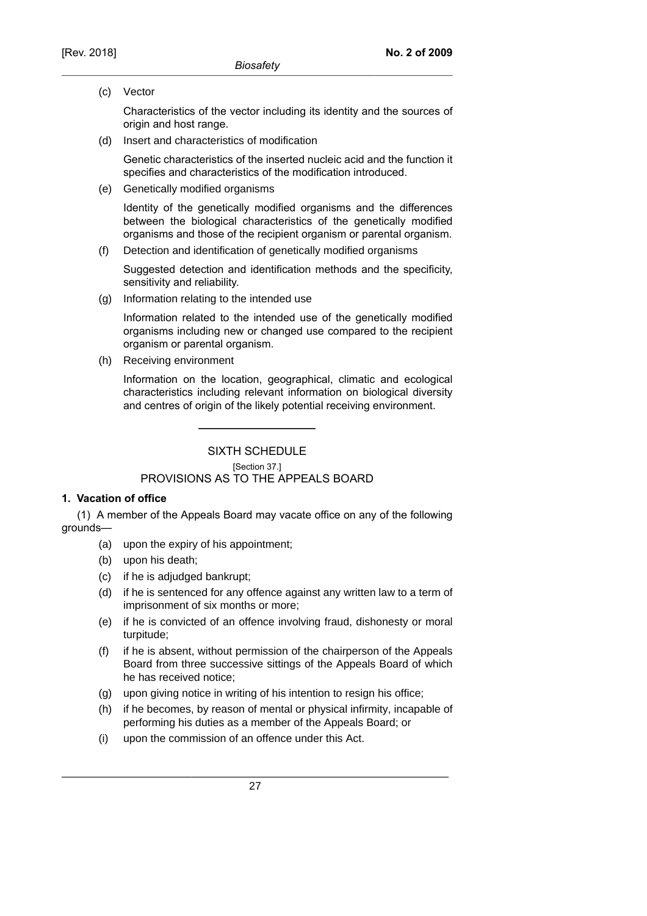### (c) Vector

Characteristics of the vector including its identity and the sources of origin and host range.

(d) Insert and characteristics of modification

Genetic characteristics of the inserted nucleic acid and the function it specifies and characteristics of the modification introduced.

(e) Genetically modified organisms

Identity of the genetically modified organisms and the differences between the biological characteristics of the genetically modified organisms and those of the recipient organism or parental organism.

(f) Detection and identification of genetically modified organisms

Suggested detection and identification methods and the specificity, sensitivity and reliability.

(g) Information relating to the intended use

Information related to the intended use of the genetically modified organisms including new or changed use compared to the recipient organism or parental organism.

(h) Receiving environment

Information on the location, geographical, climatic and ecological characteristics including relevant information on biological diversity and centres of origin of the likely potential receiving environment.

SIXTH SCHEDULE [Section 37.] PROVISIONS AS TO THE APPEALS BOARD

### **1. Vacation of office**

(1) A member of the Appeals Board may vacate office on any of the following grounds—

- (a) upon the expiry of his appointment;
- (b) upon his death;
- (c) if he is adjudged bankrupt;
- (d) if he is sentenced for any offence against any written law to a term of imprisonment of six months or more;
- (e) if he is convicted of an offence involving fraud, dishonesty or moral turpitude;
- (f) if he is absent, without permission of the chairperson of the Appeals Board from three successive sittings of the Appeals Board of which he has received notice;
- (g) upon giving notice in writing of his intention to resign his office;
- (h) if he becomes, by reason of mental or physical infirmity, incapable of performing his duties as a member of the Appeals Board; or
- (i) upon the commission of an offence under this Act.